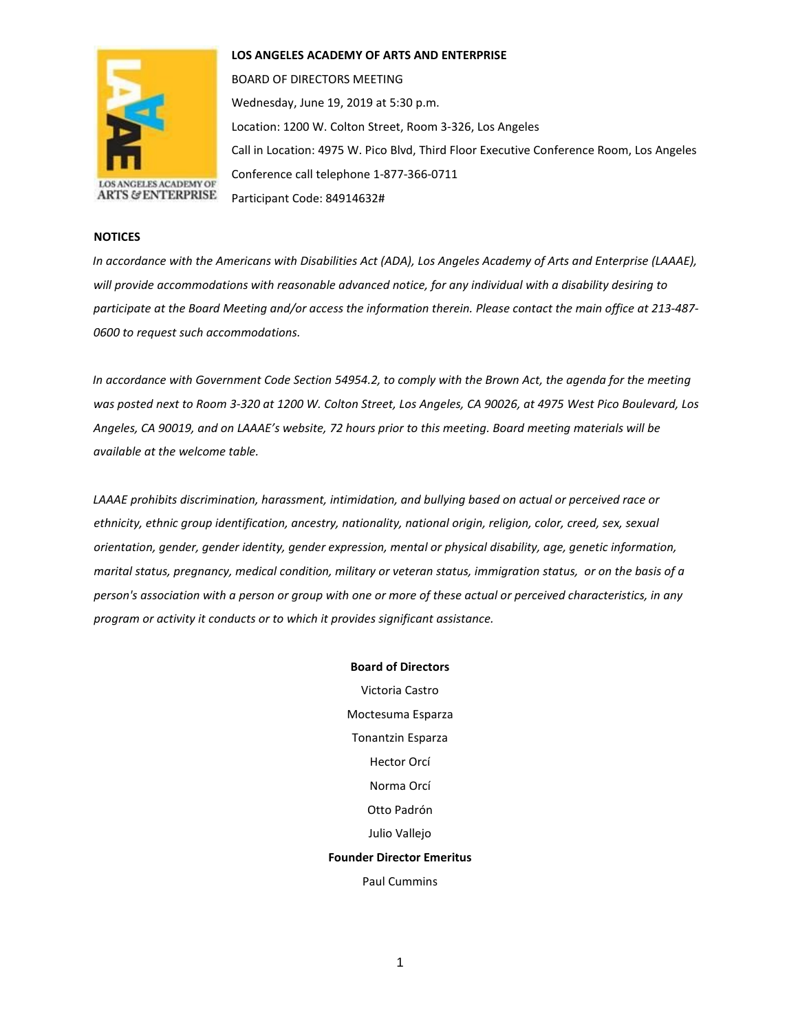

**LOS ANGELES ACADEMY OF ARTS AND ENTERPRISE** 

BOARD OF DIRECTORS MEETING Wednesday, June 19, 2019 at 5:30 p.m. Location: 1200 W. Colton Street, Room 3-326, Los Angeles Call in Location: 4975 W. Pico Blvd, Third Floor Executive Conference Room, Los Angeles Conference call telephone 1-877-366-0711 Participant Code: 84914632#

## **NOTICES**

*In accordance with the Americans with Disabilities Act (ADA), Los Angeles Academy of Arts and Enterprise (LAAAE), will provide accommodations with reasonable advanced notice, for any individual with a disability desiring to participate at the Board Meeting and/or access the information therein. Please contact the main office at 213-487- 0600 to request such accommodations.* 

*In accordance with Government Code Section 54954.2, to comply with the Brown Act, the agenda for the meeting was posted next to Room 3-320 at 1200 W. Colton Street, Los Angeles, CA 90026, at 4975 West Pico Boulevard, Los Angeles, CA 90019, and on LAAAE's website, 72 hours prior to this meeting. Board meeting materials will be available at the welcome table.* 

*LAAAE prohibits discrimination, harassment, intimidation, and bullying based on actual or perceived race or ethnicity, ethnic group identification, ancestry, nationality, national origin, religion, color, creed, sex, sexual orientation, gender, gender identity, gender expression, mental or physical disability, age, genetic information, marital status, pregnancy, medical condition, military or veteran status, immigration status, or on the basis of a person's association with a person or group with one or more of these actual or perceived characteristics, in any program or activity it conducts or to which it provides significant assistance.* 

> **Board of Directors** Victoria Castro Moctesuma Esparza Tonantzin Esparza Hector Orcí Norma Orcí Otto Padrón Julio Vallejo **Founder Director Emeritus** Paul Cummins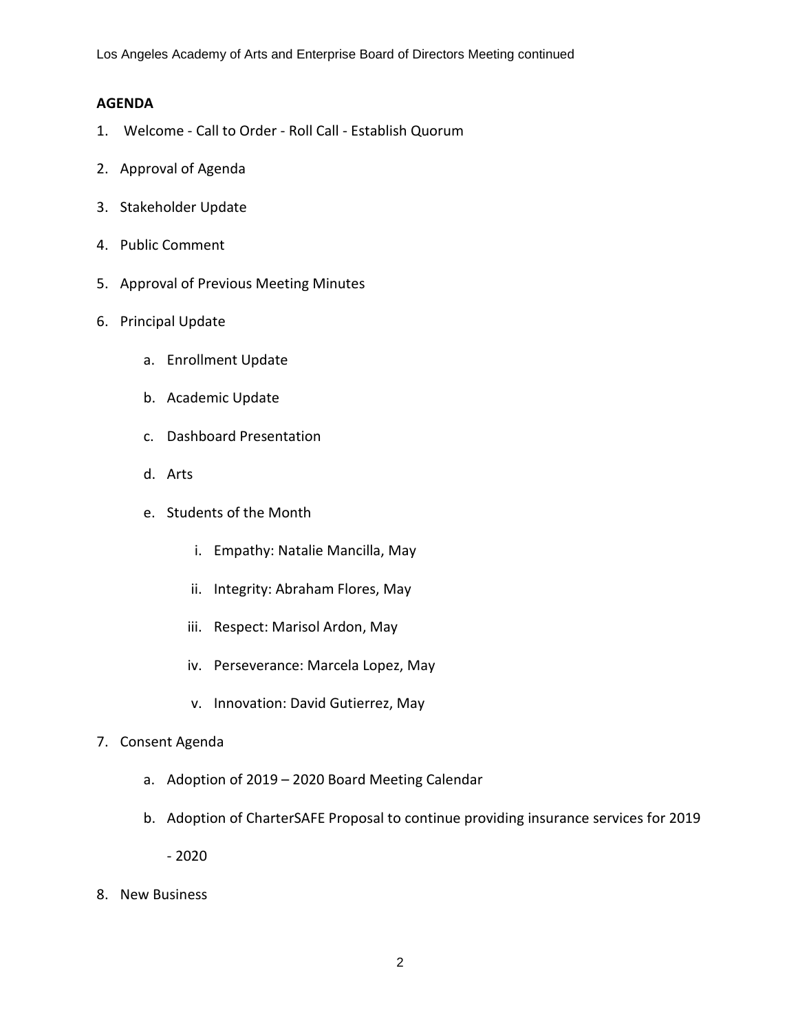Los Angeles Academy of Arts and Enterprise Board of Directors Meeting continued

## **AGENDA**

- 1. Welcome Call to Order Roll Call Establish Quorum
- 2. Approval of Agenda
- 3. Stakeholder Update
- 4. Public Comment
- 5. Approval of Previous Meeting Minutes
- 6. Principal Update
	- a. Enrollment Update
	- b. Academic Update
	- c. Dashboard Presentation
	- d. Arts
	- e. Students of the Month
		- i. Empathy: Natalie Mancilla, May
		- ii. Integrity: Abraham Flores, May
		- iii. Respect: Marisol Ardon, May
		- iv. Perseverance: Marcela Lopez, May
		- v. Innovation: David Gutierrez, May
- 7. Consent Agenda
	- a. Adoption of 2019 2020 Board Meeting Calendar
	- b. Adoption of CharterSAFE Proposal to continue providing insurance services for 2019

- 2020

8. New Business